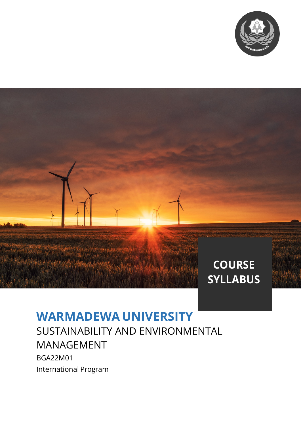

# **COURSE SYLLABUS**

# **WARMADEWA UNIVERSITY**

SUSTAINABILITY AND ENVIRONMENTAL MANAGEMENT

BGA22M01 International Program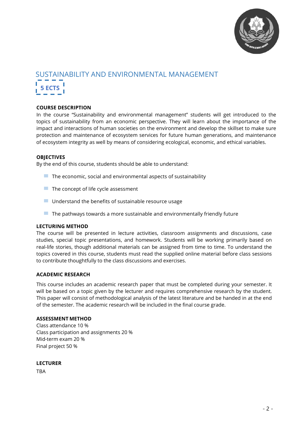

# SUSTAINABILITY AND ENVIRONMENTAL MANAGEMENT **5 ECTS**

## **COURSE DESCRIPTION**

In the course "Sustainability and environmental management" students will get introduced to the topics of sustainability from an economic perspective. They will learn about the importance of the impact and interactions of human societies on the environment and develop the skillset to make sure protection and maintenance of ecosystem services for future human generations, and maintenance of ecosystem integrity as well by means of considering ecological, economic, and ethical variables.

### **OBJECTIVES**

By the end of this course, students should be able to understand:

- $\blacksquare$  The economic, social and environmental aspects of sustainability
- $\blacksquare$  The concept of life cycle assessment
- $\blacksquare$  Understand the benefits of sustainable resource usage
- $\blacksquare$  The pathways towards a more sustainable and environmentally friendly future

### **LECTURING METHOD**

The course will be presented in lecture activities, classroom assignments and discussions, case studies, special topic presentations, and homework. Students will be working primarily based on real-life stories, though additional materials can be assigned from time to time. To understand the topics covered in this course, students must read the supplied online material before class sessions to contribute thoughtfully to the class discussions and exercises.

### **ACADEMIC RESEARCH**

This course includes an academic research paper that must be completed during your semester. It will be based on a topic given by the lecturer and requires comprehensive research by the student. This paper will consist of methodological analysis of the latest literature and be handed in at the end of the semester. The academic research will be included in the final course grade.

### **ASSESSMENT METHOD**

Class attendance 10 % Class participation and assignments 20 % Mid-term exam 20 % Final project 50 %

### **LECTURER**

**TRA**